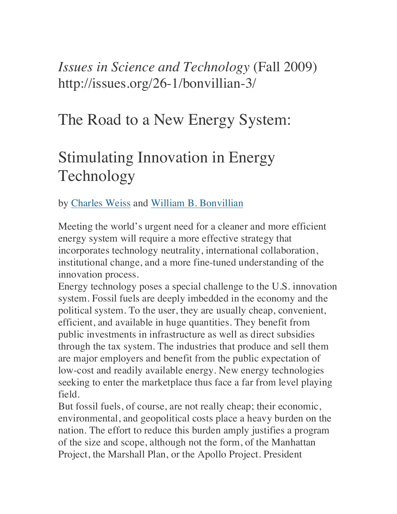## *Issues in Science and Technology* (Fall 2009) http://issues.org/26-1/bonvillian-3/

## The Road to a New Energy System:

# Stimulating Innovation in Energy Technology

by Charles Weiss and William B. Bonvillian

Meeting the world's urgent need for a cleaner and more efficient energy system will require a more effective strategy that incorporates technology neutrality, international collaboration, institutional change, and a more fine-tuned understanding of the innovation process.

Energy technology poses a special challenge to the U.S. innovation system. Fossil fuels are deeply imbedded in the economy and the political system. To the user, they are usually cheap, convenient, efficient, and available in huge quantities. They benefit from public investments in infrastructure as well as direct subsidies through the tax system. The industries that produce and sell them are major employers and benefit from the public expectation of low-cost and readily available energy. New energy technologies seeking to enter the marketplace thus face a far from level playing field.

But fossil fuels, of course, are not really cheap; their economic, environmental, and geopolitical costs place a heavy burden on the nation. The effort to reduce this burden amply justifies a program of the size and scope, although not the form, of the Manhattan Project, the Marshall Plan, or the Apollo Project. President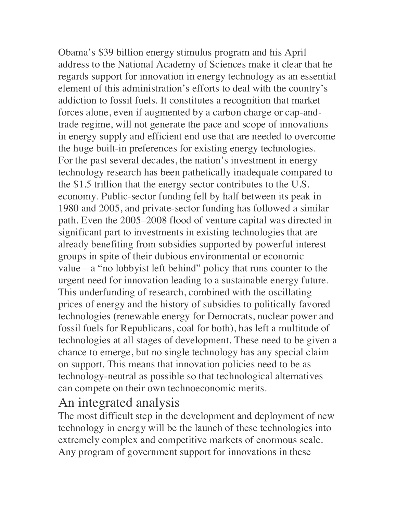Obama's \$39 billion energy stimulus program and his April address to the National Academy of Sciences make it clear that he regards support for innovation in energy technology as an essential element of this administration's efforts to deal with the country's addiction to fossil fuels. It constitutes a recognition that market forces alone, even if augmented by a carbon charge or cap-andtrade regime, will not generate the pace and scope of innovations in energy supply and efficient end use that are needed to overcome the huge built-in preferences for existing energy technologies. For the past several decades, the nation's investment in energy technology research has been pathetically inadequate compared to the \$1.5 trillion that the energy sector contributes to the U.S. economy. Public-sector funding fell by half between its peak in 1980 and 2005, and private-sector funding has followed a similar path. Even the 2005–2008 flood of venture capital was directed in significant part to investments in existing technologies that are already benefiting from subsidies supported by powerful interest groups in spite of their dubious environmental or economic value—a "no lobbyist left behind" policy that runs counter to the urgent need for innovation leading to a sustainable energy future. This underfunding of research, combined with the oscillating prices of energy and the history of subsidies to politically favored technologies (renewable energy for Democrats, nuclear power and fossil fuels for Republicans, coal for both), has left a multitude of technologies at all stages of development. These need to be given a chance to emerge, but no single technology has any special claim on support. This means that innovation policies need to be as technology-neutral as possible so that technological alternatives can compete on their own technoeconomic merits.

#### An integrated analysis

The most difficult step in the development and deployment of new technology in energy will be the launch of these technologies into extremely complex and competitive markets of enormous scale. Any program of government support for innovations in these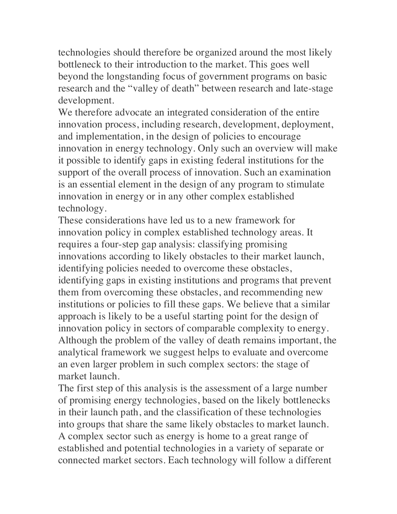technologies should therefore be organized around the most likely bottleneck to their introduction to the market. This goes well beyond the longstanding focus of government programs on basic research and the "valley of death" between research and late-stage development.

We therefore advocate an integrated consideration of the entire innovation process, including research, development, deployment, and implementation, in the design of policies to encourage innovation in energy technology. Only such an overview will make it possible to identify gaps in existing federal institutions for the support of the overall process of innovation. Such an examination is an essential element in the design of any program to stimulate innovation in energy or in any other complex established technology.

These considerations have led us to a new framework for innovation policy in complex established technology areas. It requires a four-step gap analysis: classifying promising innovations according to likely obstacles to their market launch, identifying policies needed to overcome these obstacles, identifying gaps in existing institutions and programs that prevent them from overcoming these obstacles, and recommending new institutions or policies to fill these gaps. We believe that a similar approach is likely to be a useful starting point for the design of innovation policy in sectors of comparable complexity to energy. Although the problem of the valley of death remains important, the analytical framework we suggest helps to evaluate and overcome an even larger problem in such complex sectors: the stage of market launch.

The first step of this analysis is the assessment of a large number of promising energy technologies, based on the likely bottlenecks in their launch path, and the classification of these technologies into groups that share the same likely obstacles to market launch. A complex sector such as energy is home to a great range of established and potential technologies in a variety of separate or connected market sectors. Each technology will follow a different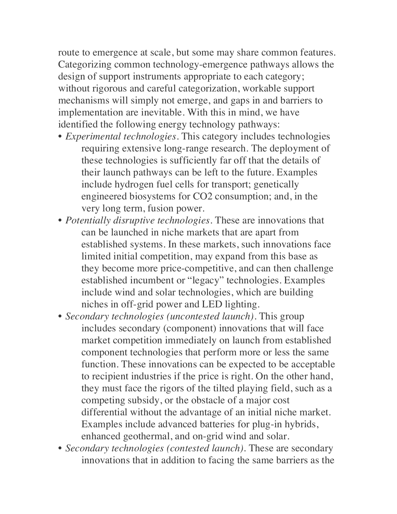route to emergence at scale, but some may share common features. Categorizing common technology-emergence pathways allows the design of support instruments appropriate to each category; without rigorous and careful categorization, workable support mechanisms will simply not emerge, and gaps in and barriers to implementation are inevitable. With this in mind, we have identified the following energy technology pathways:

- *Experimental technologies*. This category includes technologies requiring extensive long-range research. The deployment of these technologies is sufficiently far off that the details of their launch pathways can be left to the future. Examples include hydrogen fuel cells for transport; genetically engineered biosystems for CO2 consumption; and, in the very long term, fusion power.
- *Potentially disruptive technologies*. These are innovations that can be launched in niche markets that are apart from established systems. In these markets, such innovations face limited initial competition, may expand from this base as they become more price-competitive, and can then challenge established incumbent or "legacy" technologies. Examples include wind and solar technologies, which are building niches in off-grid power and LED lighting.
- *Secondary technologies (uncontested launch)*. This group includes secondary (component) innovations that will face market competition immediately on launch from established component technologies that perform more or less the same function. These innovations can be expected to be acceptable to recipient industries if the price is right. On the other hand, they must face the rigors of the tilted playing field, such as a competing subsidy, or the obstacle of a major cost differential without the advantage of an initial niche market. Examples include advanced batteries for plug-in hybrids, enhanced geothermal, and on-grid wind and solar.
- *Secondary technologies (contested launch)*. These are secondary innovations that in addition to facing the same barriers as the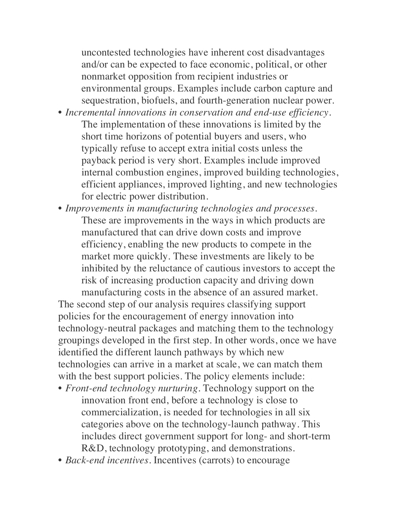uncontested technologies have inherent cost disadvantages and/or can be expected to face economic, political, or other nonmarket opposition from recipient industries or environmental groups. Examples include carbon capture and sequestration, biofuels, and fourth-generation nuclear power.

- *Incremental innovations in conservation and end-use efficiency*. The implementation of these innovations is limited by the short time horizons of potential buyers and users, who typically refuse to accept extra initial costs unless the payback period is very short. Examples include improved internal combustion engines, improved building technologies, efficient appliances, improved lighting, and new technologies for electric power distribution.
- *Improvements in manufacturing technologies and processes*. These are improvements in the ways in which products are manufactured that can drive down costs and improve efficiency, enabling the new products to compete in the market more quickly. These investments are likely to be inhibited by the reluctance of cautious investors to accept the risk of increasing production capacity and driving down manufacturing costs in the absence of an assured market.

The second step of our analysis requires classifying support policies for the encouragement of energy innovation into technology-neutral packages and matching them to the technology groupings developed in the first step. In other words, once we have identified the different launch pathways by which new technologies can arrive in a market at scale, we can match them with the best support policies. The policy elements include:

- *Front-end technology nurturing*. Technology support on the innovation front end, before a technology is close to commercialization, is needed for technologies in all six categories above on the technology-launch pathway. This includes direct government support for long- and short-term R&D, technology prototyping, and demonstrations.
- *Back-end incentives*. Incentives (carrots) to encourage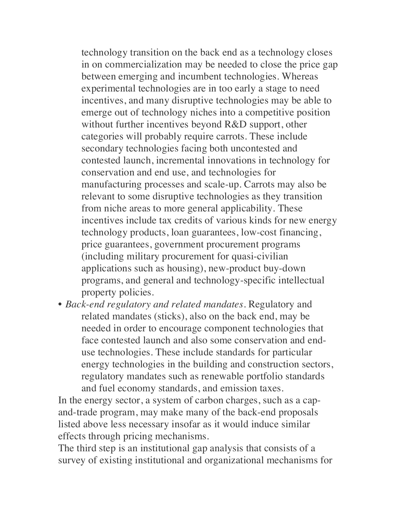technology transition on the back end as a technology closes in on commercialization may be needed to close the price gap between emerging and incumbent technologies. Whereas experimental technologies are in too early a stage to need incentives, and many disruptive technologies may be able to emerge out of technology niches into a competitive position without further incentives beyond R&D support, other categories will probably require carrots. These include secondary technologies facing both uncontested and contested launch, incremental innovations in technology for conservation and end use, and technologies for manufacturing processes and scale-up. Carrots may also be relevant to some disruptive technologies as they transition from niche areas to more general applicability. These incentives include tax credits of various kinds for new energy technology products, loan guarantees, low-cost financing, price guarantees, government procurement programs (including military procurement for quasi-civilian applications such as housing), new-product buy-down programs, and general and technology-specific intellectual property policies.

• *Back-end regulatory and related mandates*. Regulatory and related mandates (sticks), also on the back end, may be needed in order to encourage component technologies that face contested launch and also some conservation and enduse technologies. These include standards for particular energy technologies in the building and construction sectors, regulatory mandates such as renewable portfolio standards and fuel economy standards, and emission taxes.

In the energy sector, a system of carbon charges, such as a capand-trade program, may make many of the back-end proposals listed above less necessary insofar as it would induce similar effects through pricing mechanisms.

The third step is an institutional gap analysis that consists of a survey of existing institutional and organizational mechanisms for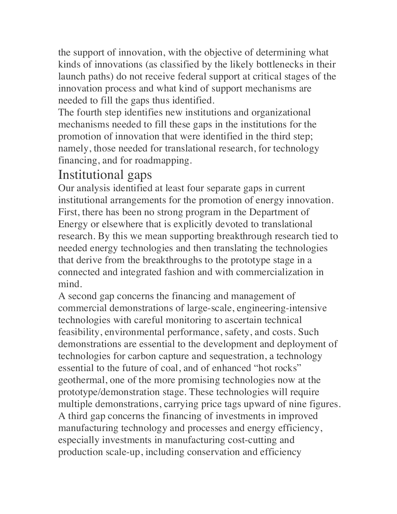the support of innovation, with the objective of determining what kinds of innovations (as classified by the likely bottlenecks in their launch paths) do not receive federal support at critical stages of the innovation process and what kind of support mechanisms are needed to fill the gaps thus identified.

The fourth step identifies new institutions and organizational mechanisms needed to fill these gaps in the institutions for the promotion of innovation that were identified in the third step; namely, those needed for translational research, for technology financing, and for roadmapping.

#### Institutional gaps

Our analysis identified at least four separate gaps in current institutional arrangements for the promotion of energy innovation. First, there has been no strong program in the Department of Energy or elsewhere that is explicitly devoted to translational research. By this we mean supporting breakthrough research tied to needed energy technologies and then translating the technologies that derive from the breakthroughs to the prototype stage in a connected and integrated fashion and with commercialization in mind.

A second gap concerns the financing and management of commercial demonstrations of large-scale, engineering-intensive technologies with careful monitoring to ascertain technical feasibility, environmental performance, safety, and costs. Such demonstrations are essential to the development and deployment of technologies for carbon capture and sequestration, a technology essential to the future of coal, and of enhanced "hot rocks" geothermal, one of the more promising technologies now at the prototype/demonstration stage. These technologies will require multiple demonstrations, carrying price tags upward of nine figures. A third gap concerns the financing of investments in improved manufacturing technology and processes and energy efficiency, especially investments in manufacturing cost-cutting and production scale-up, including conservation and efficiency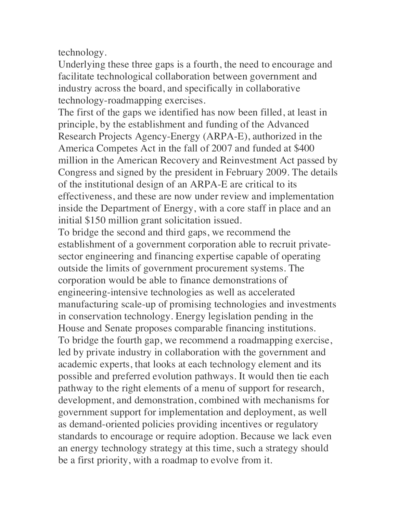technology.

Underlying these three gaps is a fourth, the need to encourage and facilitate technological collaboration between government and industry across the board, and specifically in collaborative technology-roadmapping exercises.

The first of the gaps we identified has now been filled, at least in principle, by the establishment and funding of the Advanced Research Projects Agency-Energy (ARPA-E), authorized in the America Competes Act in the fall of 2007 and funded at \$400 million in the American Recovery and Reinvestment Act passed by Congress and signed by the president in February 2009. The details of the institutional design of an ARPA-E are critical to its effectiveness, and these are now under review and implementation inside the Department of Energy, with a core staff in place and an initial \$150 million grant solicitation issued.

To bridge the second and third gaps, we recommend the establishment of a government corporation able to recruit privatesector engineering and financing expertise capable of operating outside the limits of government procurement systems. The corporation would be able to finance demonstrations of engineering-intensive technologies as well as accelerated manufacturing scale-up of promising technologies and investments in conservation technology. Energy legislation pending in the House and Senate proposes comparable financing institutions. To bridge the fourth gap, we recommend a roadmapping exercise, led by private industry in collaboration with the government and academic experts, that looks at each technology element and its possible and preferred evolution pathways. It would then tie each pathway to the right elements of a menu of support for research, development, and demonstration, combined with mechanisms for government support for implementation and deployment, as well as demand-oriented policies providing incentives or regulatory standards to encourage or require adoption. Because we lack even an energy technology strategy at this time, such a strategy should be a first priority, with a roadmap to evolve from it.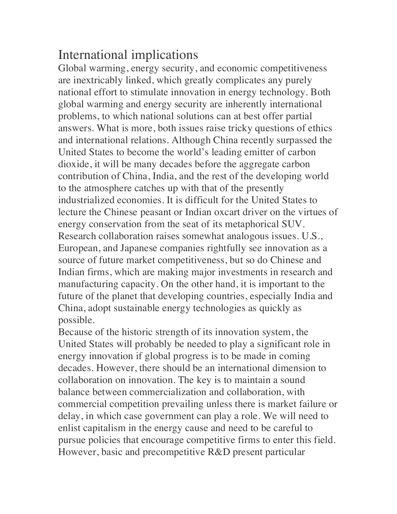### International implications

Global warming, energy security, and economic competitiveness are inextricably linked, which greatly complicates any purely national effort to stimulate innovation in energy technology. Both global warming and energy security are inherently international problems, to which national solutions can at best offer partial answers. What is more, both issues raise tricky questions of ethics and international relations. Although China recently surpassed the United States to become the world's leading emitter of carbon dioxide, it will be many decades before the aggregate carbon contribution of China, India, and the rest of the developing world to the atmosphere catches up with that of the presently industrialized economies. It is difficult for the United States to lecture the Chinese peasant or Indian oxcart driver on the virtues of energy conservation from the seat of its metaphorical SUV. Research collaboration raises somewhat analogous issues. U.S., European, and Japanese companies rightfully see innovation as a source of future market competitiveness, but so do Chinese and Indian firms, which are making major investments in research and manufacturing capacity. On the other hand, it is important to the future of the planet that developing countries, especially India and China, adopt sustainable energy technologies as quickly as possible.

Because of the historic strength of its innovation system, the United States will probably be needed to play a significant role in energy innovation if global progress is to be made in coming decades. However, there should be an international dimension to collaboration on innovation. The key is to maintain a sound balance between commercialization and collaboration, with commercial competition prevailing unless there is market failure or delay, in which case government can play a role. We will need to enlist capitalism in the energy cause and need to be careful to pursue policies that encourage competitive firms to enter this field. However, basic and precompetitive R&D present particular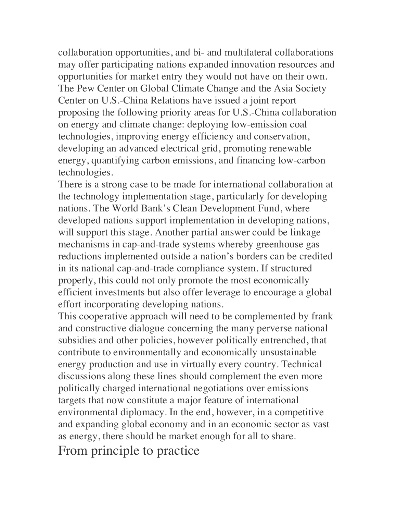collaboration opportunities, and bi- and multilateral collaborations may offer participating nations expanded innovation resources and opportunities for market entry they would not have on their own. The Pew Center on Global Climate Change and the Asia Society Center on U.S.-China Relations have issued a joint report proposing the following priority areas for U.S.-China collaboration on energy and climate change: deploying low-emission coal technologies, improving energy efficiency and conservation, developing an advanced electrical grid, promoting renewable energy, quantifying carbon emissions, and financing low-carbon technologies.

There is a strong case to be made for international collaboration at the technology implementation stage, particularly for developing nations. The World Bank's Clean Development Fund, where developed nations support implementation in developing nations, will support this stage. Another partial answer could be linkage mechanisms in cap-and-trade systems whereby greenhouse gas reductions implemented outside a nation's borders can be credited in its national cap-and-trade compliance system. If structured properly, this could not only promote the most economically efficient investments but also offer leverage to encourage a global effort incorporating developing nations.

This cooperative approach will need to be complemented by frank and constructive dialogue concerning the many perverse national subsidies and other policies, however politically entrenched, that contribute to environmentally and economically unsustainable energy production and use in virtually every country. Technical discussions along these lines should complement the even more politically charged international negotiations over emissions targets that now constitute a major feature of international environmental diplomacy. In the end, however, in a competitive and expanding global economy and in an economic sector as vast as energy, there should be market enough for all to share. From principle to practice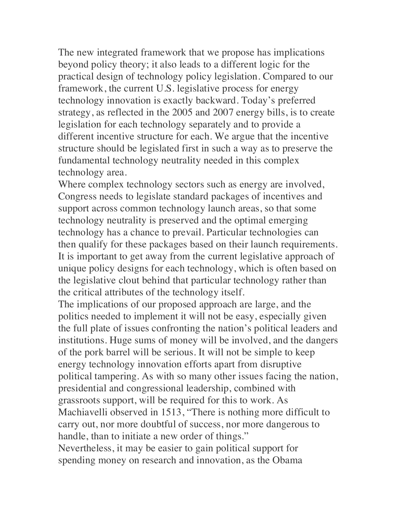The new integrated framework that we propose has implications beyond policy theory; it also leads to a different logic for the practical design of technology policy legislation. Compared to our framework, the current U.S. legislative process for energy technology innovation is exactly backward. Today's preferred strategy, as reflected in the 2005 and 2007 energy bills, is to create legislation for each technology separately and to provide a different incentive structure for each. We argue that the incentive structure should be legislated first in such a way as to preserve the fundamental technology neutrality needed in this complex technology area.

Where complex technology sectors such as energy are involved, Congress needs to legislate standard packages of incentives and support across common technology launch areas, so that some technology neutrality is preserved and the optimal emerging technology has a chance to prevail. Particular technologies can then qualify for these packages based on their launch requirements. It is important to get away from the current legislative approach of unique policy designs for each technology, which is often based on the legislative clout behind that particular technology rather than the critical attributes of the technology itself.

The implications of our proposed approach are large, and the politics needed to implement it will not be easy, especially given the full plate of issues confronting the nation's political leaders and institutions. Huge sums of money will be involved, and the dangers of the pork barrel will be serious. It will not be simple to keep energy technology innovation efforts apart from disruptive political tampering. As with so many other issues facing the nation, presidential and congressional leadership, combined with grassroots support, will be required for this to work. As Machiavelli observed in 1513, "There is nothing more difficult to carry out, nor more doubtful of success, nor more dangerous to handle, than to initiate a new order of things." Nevertheless, it may be easier to gain political support for spending money on research and innovation, as the Obama